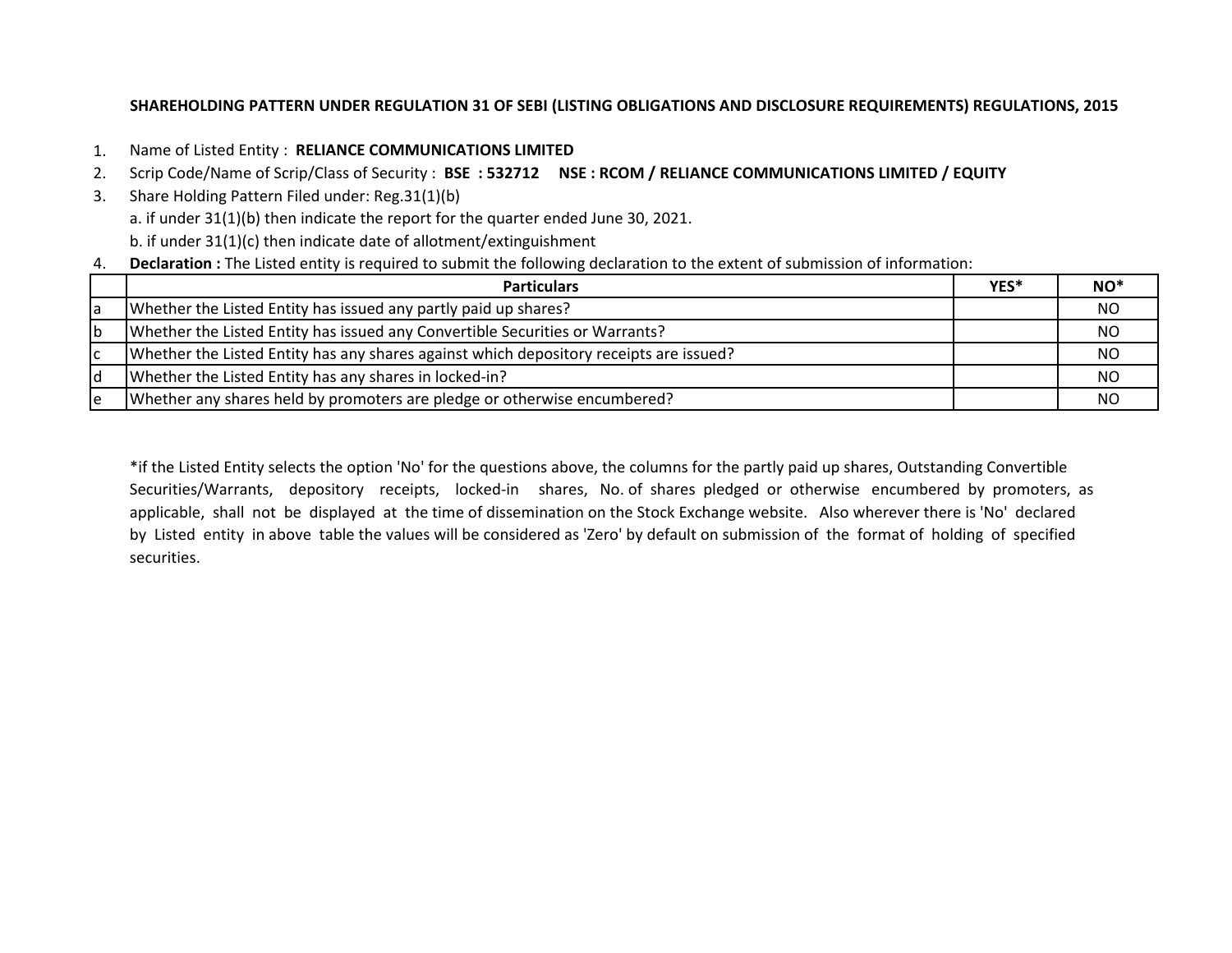# **SHAREHOLDING PATTERN UNDER REGULATION 31 OF SEBI (LISTING OBLIGATIONS AND DISCLOSURE REQUIREMENTS) REGULATIONS, 2015**

- 1. Name of Listed Entity : **RELIANCE COMMUNICATIONS LIMITED**
- 2. Scrip Code/Name of Scrip/Class of Security : **BSE : 532712 NSE : RCOM / RELIANCE COMMUNICATIONS LIMITED / EQUITY**
- 3. Share Holding Pattern Filed under: Reg.31(1)(b)
	- a. if under 31(1)(b) then indicate the report for the quarter ended June 30, 2021.
	- b. if under 31(1)(c) then indicate date of allotment/extinguishment
- 4. **Declaration :** The Listed entity is required to submit the following declaration to the extent of submission of information:

|    | <b>Particulars</b>                                                                     | YES* | $NO^*$ |
|----|----------------------------------------------------------------------------------------|------|--------|
| la | Whether the Listed Entity has issued any partly paid up shares?                        |      | ΝO     |
| Ib | Whether the Listed Entity has issued any Convertible Securities or Warrants?           |      | ΝO     |
| ١c | Whether the Listed Entity has any shares against which depository receipts are issued? |      | NO.    |
| ld | Whether the Listed Entity has any shares in locked-in?                                 |      | ΝO     |
| ١e | Whether any shares held by promoters are pledge or otherwise encumbered?               |      |        |

\*if the Listed Entity selects the option 'No' for the questions above, the columns for the partly paid up shares, Outstanding Convertible Securities/Warrants, depository receipts, locked-in shares, No. of shares pledged or otherwise encumbered by promoters, as applicable, shall not be displayed at the time of dissemination on the Stock Exchange website. Also wherever there is 'No' declared by Listed entity in above table the values will be considered as 'Zero' by default on submission of the format of holding of specified securities.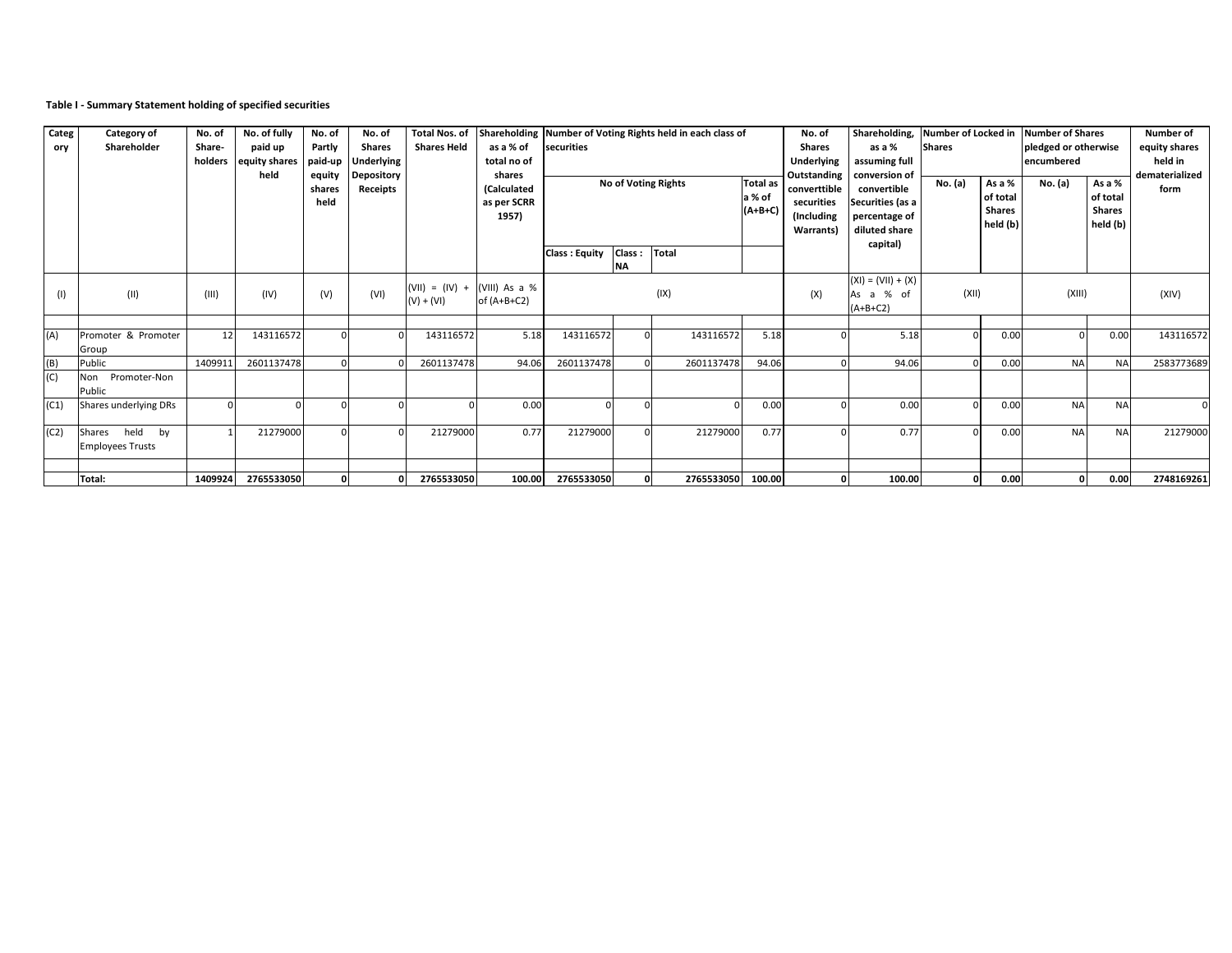## **Table I - Summary Statement holding of specified securities**

| Categ<br>ory | Category of<br>Shareholder                   | No. of<br>Share-<br>holders | No. of fully<br>paid up<br>equity shares<br>held | No. of<br>Partly<br>paid-up<br>equity<br>shares<br>held | No. of<br><b>Shares</b><br><b>Underlying</b><br><b>Depository</b><br>Receipts | <b>Total Nos. of</b><br><b>Shares Held</b> | as a % of<br>total no of<br>shares<br><b>(Calculated</b><br>as per SCRR<br>1957) | Shareholding Number of Voting Rights held in each class of<br>securities<br>No of Voting Rights |                     |                   | <b>Total as</b><br>a % of<br>$(A+B+C)$ | No. of<br><b>Shares</b><br>Underlying<br>Outstanding<br>converttible<br>securities<br>(Including<br>Warrants) | Shareholding,<br>as a %<br>assuming full<br>conversion of<br>convertible<br>Securities (as a<br>percentage of<br>diluted share<br>capital) | <b>Shares</b><br>No. (a) | As a %<br>of total<br><b>Shares</b><br>held $(b)$ | Number of Locked in Number of Shares<br>pledged or otherwise<br>encumbered<br>No. (a) | As a %<br>of total<br><b>Shares</b><br>held (b) | Number of<br>equity shares<br>held in<br>dematerialized<br>form |
|--------------|----------------------------------------------|-----------------------------|--------------------------------------------------|---------------------------------------------------------|-------------------------------------------------------------------------------|--------------------------------------------|----------------------------------------------------------------------------------|-------------------------------------------------------------------------------------------------|---------------------|-------------------|----------------------------------------|---------------------------------------------------------------------------------------------------------------|--------------------------------------------------------------------------------------------------------------------------------------------|--------------------------|---------------------------------------------------|---------------------------------------------------------------------------------------|-------------------------------------------------|-----------------------------------------------------------------|
|              |                                              |                             |                                                  |                                                         |                                                                               |                                            |                                                                                  | <b>Class: Equity</b>                                                                            | Class:<br><b>NA</b> | Total             |                                        |                                                                                                               |                                                                                                                                            |                          |                                                   |                                                                                       |                                                 |                                                                 |
| (1)          | (II)                                         | (III)                       | (IV)                                             | (V)                                                     | (VI)                                                                          | $(VII) = (IV) +$<br>$(V) + (VI)$           | (VIII) As a %<br>of $(A+B+C2)$                                                   |                                                                                                 | (IX)                |                   | (X)                                    | $(XI) = (VII) + (X)$<br>As a % of<br>$(A+B+C2)$                                                               | (XII)                                                                                                                                      |                          | (XIII)                                            |                                                                                       | (XIV)                                           |                                                                 |
| (A)          | Promoter & Promoter<br>Group                 | 12                          | 143116572                                        |                                                         |                                                                               | 143116572                                  | 5.18                                                                             | 143116572                                                                                       | $\Omega$            | 143116572         | 5.18                                   |                                                                                                               | 5.18                                                                                                                                       |                          | 0.00                                              | $\Omega$                                                                              | 0.00                                            | 143116572                                                       |
|              | Public                                       | 1409911                     | 2601137478                                       |                                                         |                                                                               | 2601137478                                 | 94.06                                                                            | 2601137478                                                                                      |                     | 2601137478        | 94.06                                  |                                                                                                               | 94.06                                                                                                                                      |                          | 0.00                                              | <b>NA</b>                                                                             | <b>NA</b>                                       | 2583773689                                                      |
| (C)          | Promoter-Non<br>Non<br>Public                |                             |                                                  |                                                         |                                                                               |                                            |                                                                                  |                                                                                                 |                     |                   |                                        |                                                                                                               |                                                                                                                                            |                          |                                                   |                                                                                       |                                                 |                                                                 |
| (C1)         | Shares underlying DRs                        |                             |                                                  |                                                         |                                                                               |                                            | 0.00                                                                             |                                                                                                 |                     | $\Omega$          | 0.00                                   |                                                                                                               | 0.00                                                                                                                                       |                          | 0.00                                              | <b>NA</b>                                                                             | <b>NA</b>                                       |                                                                 |
| (C2)         | held by<br>Shares<br><b>Employees Trusts</b> |                             | 21279000                                         |                                                         |                                                                               | 21279000                                   | 0.77                                                                             | 21279000                                                                                        |                     | 21279000          | 0.77                                   |                                                                                                               | 0.77                                                                                                                                       |                          | 0.00                                              | <b>NA</b>                                                                             | <b>NA</b>                                       | 21279000                                                        |
|              |                                              |                             |                                                  |                                                         |                                                                               |                                            |                                                                                  |                                                                                                 |                     |                   |                                        |                                                                                                               |                                                                                                                                            |                          |                                                   |                                                                                       |                                                 |                                                                 |
|              | Total:                                       | 1409924                     | 2765533050                                       |                                                         |                                                                               | 2765533050                                 |                                                                                  | 100.00 2765533050                                                                               |                     | 2765533050 100.00 |                                        |                                                                                                               | 100.00                                                                                                                                     |                          | 0.00                                              | $\mathbf 0$                                                                           | 0.00                                            | 2748169261                                                      |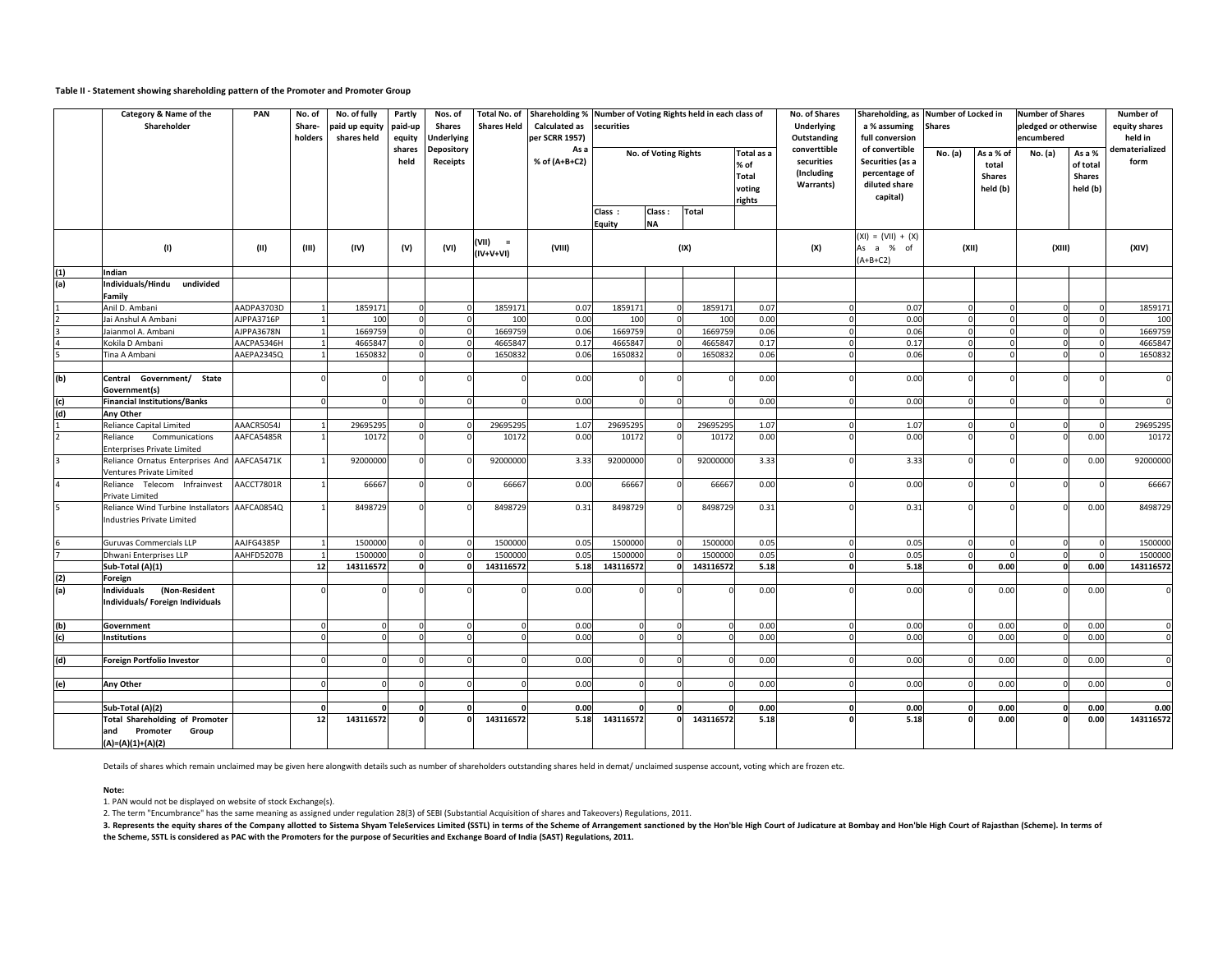#### **Table II - Statement showing shareholding pattern of the Promoter and Promoter Group**

|                | Category & Name of the<br>Shareholder                                              | PAN        | No. of<br>Share-<br>holders | No. of fully<br>paid up equity<br>shares held | Partly<br>paid-up<br>equity | Nos. of<br>Shares<br><b>Jnderlying</b> | Total No. of<br><b>Shares Held</b> | Shareholding % Number of Voting Rights held in each class of<br><b>Calculated as</b><br>per SCRR 1957) | securities           |                     |              |                                                        | No. of Shares<br>Underlying<br>Outstanding            | a % assuming<br>full conversion                                                  | Shareholding, as Number of Locked in<br>Shares |                                                 | <b>Number of Shares</b><br>pledged or otherwise<br>encumbered |                                                 | Number of<br>equity shares<br>held in |
|----------------|------------------------------------------------------------------------------------|------------|-----------------------------|-----------------------------------------------|-----------------------------|----------------------------------------|------------------------------------|--------------------------------------------------------------------------------------------------------|----------------------|---------------------|--------------|--------------------------------------------------------|-------------------------------------------------------|----------------------------------------------------------------------------------|------------------------------------------------|-------------------------------------------------|---------------------------------------------------------------|-------------------------------------------------|---------------------------------------|
|                |                                                                                    |            |                             |                                               | shares<br>held              | <b>Depository</b><br>Receipts          |                                    | As a<br>% of (A+B+C2)                                                                                  | No. of Voting Rights |                     |              | Total as a<br>% of<br><b>Total</b><br>voting<br>rights | converttible<br>securities<br>(Including<br>Warrants) | of convertible<br>Securities (as a<br>percentage of<br>diluted share<br>capital) | No. (a)                                        | As a % of<br>total<br><b>Shares</b><br>held (b) | No. (a)                                                       | As a %<br>of total<br><b>Shares</b><br>held (b) | dematerialized<br>form                |
|                |                                                                                    |            |                             |                                               |                             |                                        |                                    |                                                                                                        | Class:<br>Equity     | Class:<br><b>NA</b> | <b>Total</b> |                                                        |                                                       |                                                                                  |                                                |                                                 |                                                               |                                                 |                                       |
|                | (1)                                                                                | (II)       | (III)                       | (IV)                                          | (V)                         | (VI)                                   | (VII) =<br>$(IV+V+VI)$             | (VIII)                                                                                                 |                      | (IX)                |              |                                                        | (X)                                                   | $(XI) = (VII) + (X)$<br>As a % of<br>$(A+B+C2)$                                  | (XII)                                          |                                                 | (XIII)                                                        |                                                 | (XIV)                                 |
| (1)            | Indian                                                                             |            |                             |                                               |                             |                                        |                                    |                                                                                                        |                      |                     |              |                                                        |                                                       |                                                                                  |                                                |                                                 |                                                               |                                                 |                                       |
| (a)            | Individuals/Hindu undivided<br>Family                                              |            |                             |                                               |                             |                                        |                                    |                                                                                                        |                      |                     |              |                                                        |                                                       |                                                                                  |                                                |                                                 |                                                               |                                                 |                                       |
|                | Anil D. Ambani                                                                     | AADPA3703D |                             | 1859171                                       | $\mathbf 0$                 |                                        | 1859171                            | 0.07                                                                                                   | 1859171              |                     | 1859171      | 0.07                                                   |                                                       | 0.07                                                                             |                                                | $\Omega$                                        | 0                                                             | $\Omega$                                        | 1859171                               |
|                | Jai Anshul A Ambani                                                                | AJPPA3716P |                             | 100                                           |                             |                                        | 100                                | 0.00                                                                                                   | 100                  |                     | 100          | 0.00                                                   |                                                       | 0.00                                                                             |                                                |                                                 | $\Omega$                                                      |                                                 | 100                                   |
|                | Jaianmol A. Ambani                                                                 | AJPPA3678N |                             | 1669759                                       |                             |                                        | 1669759                            | 0.06                                                                                                   | 1669759              |                     | 1669759      | 0.06                                                   |                                                       | 0.06                                                                             |                                                |                                                 | $\Omega$                                                      |                                                 | 1669759                               |
|                | Kokila D Ambani                                                                    | AACPA5346H |                             | 466584                                        | $\Omega$                    |                                        | 466584                             | 0.17                                                                                                   | 466584               |                     | 466584       | 0.17                                                   |                                                       | 0.17                                                                             |                                                | $\mathbf 0$                                     | $\Omega$                                                      |                                                 | 4665847                               |
|                | Tina A Ambani                                                                      | AAEPA2345Q |                             | 1650832                                       |                             |                                        | 165083                             | 0.06                                                                                                   | 165083               |                     | 1650832      | 0.06                                                   |                                                       | 0.06                                                                             |                                                |                                                 |                                                               |                                                 | 1650832                               |
| (b)            | Central Government/ State<br>Government(s)                                         |            |                             |                                               |                             |                                        |                                    | 0.00                                                                                                   |                      |                     |              | 0.00                                                   |                                                       | 0.00                                                                             |                                                |                                                 |                                                               |                                                 | $\mathbf{0}$                          |
| (c)            | <b>Financial Institutions/Banks</b>                                                |            |                             |                                               |                             |                                        |                                    | 0.00                                                                                                   |                      |                     |              | 0.00                                                   |                                                       | 0.00                                                                             |                                                |                                                 |                                                               |                                                 | $\mathbf{0}$                          |
|                | Any Other                                                                          |            |                             |                                               |                             |                                        |                                    |                                                                                                        |                      |                     |              |                                                        |                                                       |                                                                                  |                                                |                                                 |                                                               |                                                 |                                       |
| $\frac{d}{1}$  | <b>Reliance Capital Limited</b>                                                    | AAACR5054J |                             | 29695295                                      |                             |                                        | 2969529                            | 1.07                                                                                                   | 2969529              |                     | 29695295     | 1.07                                                   |                                                       | 1.07                                                                             |                                                |                                                 | $\Omega$                                                      |                                                 | 29695295                              |
| $\overline{2}$ | Reliance<br>Communications<br><b>Enterprises Private Limited</b>                   | AAFCA5485R |                             | 10172                                         | $\Omega$                    |                                        | 10172                              | 0.00                                                                                                   | 10172                |                     | 10172        | 0.00                                                   |                                                       | 0.00                                                                             |                                                |                                                 |                                                               | 0.00                                            | 10172                                 |
| 3              | Reliance Ornatus Enterprises And AAFCA5471K<br>Ventures Private Limited            |            |                             | 92000000                                      |                             |                                        | 92000000                           | 3.33                                                                                                   | 92000000             |                     | 92000000     | 3.33                                                   |                                                       | 3.33                                                                             |                                                |                                                 |                                                               | 0.00                                            | 92000000                              |
| $\overline{4}$ | Reliance Telecom Infrainvest<br>Private Limited                                    | AACCT7801R |                             | 66667                                         |                             |                                        | 66667                              | 0.00                                                                                                   | 66667                |                     | 66667        | 0.00                                                   |                                                       | 0.00                                                                             |                                                |                                                 | $\Omega$                                                      |                                                 | 66667                                 |
| 5              | Reliance Wind Turbine Installators AAFCA0854Q<br><b>Industries Private Limited</b> |            |                             | 8498729                                       |                             |                                        | 8498729                            | 0.31                                                                                                   | 8498729              |                     | 8498729      | 0.31                                                   |                                                       | 0.31                                                                             |                                                |                                                 |                                                               | 0.00                                            | 8498729                               |
|                | <b>Guruvas Commercials LLP</b>                                                     | AAJFG4385P |                             | 1500000                                       |                             |                                        | 150000                             | 0.05                                                                                                   | 1500000              |                     | 150000       | 0.05                                                   |                                                       | 0.05                                                                             |                                                |                                                 | $\Omega$                                                      |                                                 | 1500000                               |
| $\frac{6}{7}$  | Dhwani Enterprises LLP                                                             | AAHFD5207B |                             | 1500000                                       | $\Omega$                    |                                        | 150000                             | 0.05                                                                                                   | 1500000              |                     | 150000       | 0.05                                                   |                                                       | 0.05                                                                             |                                                |                                                 |                                                               |                                                 | 1500000                               |
|                | Sub-Total (A)(1)                                                                   |            | 12                          | 143116572                                     | $\mathbf{o}$                |                                        | 143116572                          | 5.18                                                                                                   | 143116572            | $\mathbf{0}$        | 143116572    | 5.18                                                   |                                                       | 5.18                                                                             |                                                | 0.00                                            | $\Omega$                                                      | 0.00                                            | 143116572                             |
| (2)            | Foreign                                                                            |            |                             |                                               |                             |                                        |                                    |                                                                                                        |                      |                     |              |                                                        |                                                       |                                                                                  |                                                |                                                 |                                                               |                                                 |                                       |
| (a)            | (Non-Resident<br><b>Individuals</b><br>Individuals/ Foreign Individuals            |            |                             |                                               |                             |                                        |                                    | 0.00                                                                                                   |                      |                     |              | 0.00                                                   |                                                       | 0.00                                                                             |                                                | 0.00                                            |                                                               | 0.00                                            | $\Omega$                              |
| (b)            | Government                                                                         |            |                             |                                               |                             |                                        |                                    | 0.00                                                                                                   |                      |                     |              | 0.00                                                   |                                                       | 0.00                                                                             |                                                | 0.00                                            |                                                               | 0.00                                            | $\Omega$                              |
| (c)            | <b>Institutions</b>                                                                |            |                             |                                               |                             |                                        |                                    | 0.00                                                                                                   |                      |                     |              | 0.00                                                   |                                                       | 0.00                                                                             |                                                | 0.00                                            |                                                               | 0.00                                            | $\Omega$                              |
|                |                                                                                    |            |                             |                                               |                             |                                        |                                    |                                                                                                        |                      |                     |              |                                                        |                                                       |                                                                                  |                                                |                                                 |                                                               |                                                 |                                       |
| (d)            | Foreign Portfolio Investor                                                         |            |                             |                                               |                             |                                        |                                    | 0.00                                                                                                   |                      |                     |              | 0.00                                                   |                                                       | 0.00                                                                             |                                                | 0.00                                            |                                                               | 0.00                                            | $\mathbf 0$                           |
|                |                                                                                    |            |                             |                                               |                             |                                        |                                    |                                                                                                        |                      |                     |              |                                                        |                                                       |                                                                                  |                                                |                                                 |                                                               |                                                 |                                       |
| (e)            | Any Other                                                                          |            |                             |                                               |                             |                                        |                                    | 0.00                                                                                                   |                      |                     |              | 0.00                                                   |                                                       | 0.00                                                                             |                                                | 0.00                                            |                                                               | 0.00                                            | $\Omega$                              |
|                | Sub-Total (A)(2)                                                                   |            |                             |                                               |                             |                                        |                                    | 0.00                                                                                                   |                      |                     |              | 0.00                                                   |                                                       | 0.00                                                                             |                                                | 0.00                                            | $\Omega$                                                      | 0.00                                            | 0.00                                  |
|                | <b>Total Shareholding of Promoter</b>                                              |            | 12                          | 143116572                                     |                             |                                        | 143116572                          | 5.18                                                                                                   | 143116572            |                     | 143116572    | 5.18                                                   |                                                       | 5.18                                                                             |                                                | 0.00                                            |                                                               | 0.00                                            | 143116572                             |
|                | Promoter<br>and<br>Group<br>$(A)=(A)(1)+(A)(2)$                                    |            |                             |                                               |                             |                                        |                                    |                                                                                                        |                      |                     |              |                                                        |                                                       |                                                                                  |                                                |                                                 |                                                               |                                                 |                                       |

Details of shares which remain unclaimed may be given here alongwith details such as number of shareholders outstanding shares held in demat/ unclaimed suspense account, voting which are frozen etc.

**Note:**

1. PAN would not be displayed on website of stock Exchange(s).

2. The term "Encumbrance" has the same meaning as assigned under regulation 28(3) of SEBI (Substantial Acquisition of shares and Takeovers) Regulations, 2011.

3. Represents the equity shares of the Company allotted to Sistema Shyam TeleServices Limited (SSTL) in terms of the Scheme of Arrangement sanctioned by the Hon'ble High Court of Judicature at Bombay and Hon'ble High Court **the Scheme, SSTL is considered as PAC with the Promoters for the purpose of Securities and Exchange Board of India (SAST) Regulations, 2011.**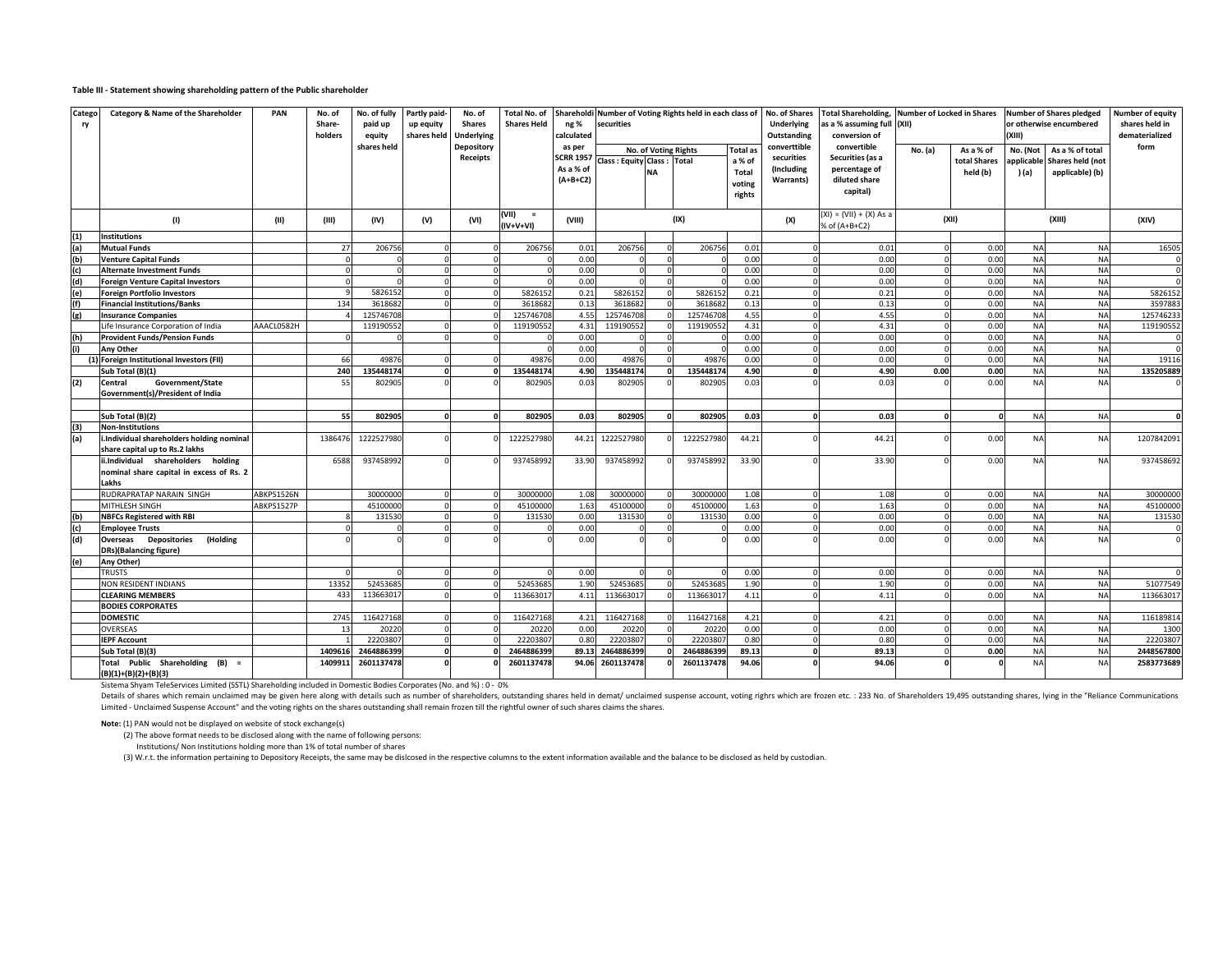#### **Table III - Statement showing shareholding pattern of the Public shareholder**

| Catego<br>ry | Category & Name of the Shareholder                                                                                                                                              | PAN        | No. of<br>Share-<br>holders | No. of fully<br>paid up<br>equity | Partly paid-<br>up equity<br>shares held | No. of<br><b>Shares</b><br><b>Underlying</b> | Total No. of<br><b>Shares Held</b> | ng %<br>calculated                                    | Shareholdi Number of Voting Rights held in each class of<br>securities |                      |            | No. of Shares<br>Underlying<br>Outstanding | <b>Total Shareholding,</b><br>s a % assuming full (XII)<br>conversion of | <b>Number of Locked in Shares</b>                                 |          | (XIII)                                | <b>Number of Shares pledged</b><br>or otherwise encumbered | Number of equity<br>shares held in<br>dematerialized   |            |
|--------------|---------------------------------------------------------------------------------------------------------------------------------------------------------------------------------|------------|-----------------------------|-----------------------------------|------------------------------------------|----------------------------------------------|------------------------------------|-------------------------------------------------------|------------------------------------------------------------------------|----------------------|------------|--------------------------------------------|--------------------------------------------------------------------------|-------------------------------------------------------------------|----------|---------------------------------------|------------------------------------------------------------|--------------------------------------------------------|------------|
|              |                                                                                                                                                                                 |            |                             | shares held                       |                                          | Depository<br>Receipts                       |                                    | as per<br><b>SCRR 1957</b><br>As a % of<br>$(A+B+C2)$ | Class: Equity Class: Total                                             | No. of Voting Rights |            | <b>Total</b> as<br>a % of<br>Total         | converttible<br>securities<br>(Including<br>Warrants)                    | convertible<br>Securities (as a<br>percentage of<br>diluted share | No. (a)  | As a % of<br>total Shares<br>held (b) | No. (Not<br>applicable<br>) (a)                            | As a % of total<br>Shares held (not<br>applicable) (b) | form       |
|              |                                                                                                                                                                                 |            |                             |                                   |                                          |                                              |                                    |                                                       |                                                                        |                      |            | voting<br>rights                           |                                                                          | capital)                                                          |          |                                       |                                                            |                                                        |            |
|              | (1)                                                                                                                                                                             | (II)       | (III)                       | (IV)                              | (V)                                      | (VI)                                         | $(VII)$ =<br>(IV+V+VI)             | (VIII)                                                |                                                                        |                      | (IX)       |                                            | (X)                                                                      | $(XI) = (VII) + (X) As a$<br>% of (A+B+C2)                        |          | (XII)                                 |                                                            | (XIII)                                                 | (XIV)      |
| (1)          | <b>Institutions</b>                                                                                                                                                             |            |                             |                                   |                                          |                                              |                                    |                                                       |                                                                        |                      |            |                                            |                                                                          |                                                                   |          |                                       |                                                            |                                                        |            |
| (a)          | <b>Mutual Funds</b>                                                                                                                                                             |            | 27                          | 206756                            |                                          |                                              | 206756                             | 0.01                                                  | 206756                                                                 |                      | 206756     | 0.01                                       |                                                                          | 0.01                                                              |          | 0.00                                  | <b>NA</b>                                                  | <b>NA</b>                                              | 16505      |
| (b)          | <b>Venture Capital Funds</b>                                                                                                                                                    |            |                             |                                   |                                          |                                              |                                    | 0.00                                                  |                                                                        |                      |            | 0.00                                       |                                                                          | 0.00                                                              |          | 0.00                                  | <b>NA</b>                                                  | <b>NA</b>                                              |            |
| (c)          | <b>Alternate Investment Funds</b>                                                                                                                                               |            |                             |                                   |                                          |                                              |                                    | 0.00                                                  |                                                                        | $\Omega$             |            | 0.00                                       |                                                                          | 0.00                                                              | $\Omega$ | 0.00                                  | <b>NA</b>                                                  | <b>NA</b>                                              |            |
| (d)          | <b>Foreign Venture Capital Investors</b>                                                                                                                                        |            | $\Omega$                    |                                   |                                          |                                              |                                    | 0.00                                                  |                                                                        |                      |            | 0.00                                       |                                                                          | 0.00                                                              | $\Omega$ | 0.00                                  | <b>NA</b>                                                  | <b>NA</b>                                              |            |
| (e)          | <b>Foreign Portfolio Investors</b>                                                                                                                                              |            |                             | 582615                            |                                          |                                              | 5826152                            | 0.21                                                  | 5826152                                                                |                      | 5826152    | 0.21                                       |                                                                          | 0.21                                                              | $\Omega$ | 0.00                                  | <b>NA</b>                                                  | <b>NA</b>                                              | 5826152    |
| (f)          | <b>Financial Institutions/Banks</b>                                                                                                                                             |            | 134                         | 361868                            |                                          |                                              | 3618682                            | 0.13                                                  | 3618682                                                                |                      | 3618682    | 0.13                                       |                                                                          | 0.13                                                              | $\Omega$ | 0.00                                  | <b>NA</b>                                                  | <b>NA</b>                                              | 3597883    |
| (g)          | <b>Insurance Companies</b>                                                                                                                                                      |            |                             | 12574670                          |                                          |                                              | 125746708                          | 4.55                                                  | 125746708                                                              |                      | 125746708  | 4.55                                       |                                                                          | 4.55                                                              |          | 0.00                                  | <b>NA</b>                                                  | <b>NA</b>                                              | 125746233  |
|              | life Insurance Corporation of India                                                                                                                                             | AAACL0582H |                             | 11919055                          |                                          |                                              | 119190552                          | 4.31                                                  | 119190552                                                              |                      | 119190552  | 4.31                                       |                                                                          | 4.31                                                              |          | 0.00                                  | <b>NA</b>                                                  | <b>NA</b>                                              | 119190552  |
| (h)          | <b>Provident Funds/Pension Funds</b>                                                                                                                                            |            |                             |                                   |                                          |                                              |                                    | 0.00                                                  |                                                                        |                      |            | 0.00                                       |                                                                          | 0.00                                                              |          | 0.00                                  | <b>NA</b>                                                  | <b>NA</b>                                              |            |
| (i)          | <b>Any Other</b>                                                                                                                                                                |            |                             |                                   |                                          |                                              |                                    | 0.00                                                  |                                                                        |                      |            | 0.00                                       |                                                                          | 0.00                                                              | $\Omega$ | 0.00                                  | <b>NA</b>                                                  | <b>NA</b>                                              |            |
|              | Foreign Institutional Investors (FII)                                                                                                                                           |            | 66                          | 4987                              |                                          |                                              | 49876                              | 0.00                                                  | 49876                                                                  |                      | 49876      | 0.00                                       |                                                                          | 0.00                                                              | $\Omega$ | 0.00                                  | <b>NA</b>                                                  | <b>NA</b>                                              | 19116      |
|              | Sub Total (B)(1)                                                                                                                                                                |            | 240                         | 135448174                         |                                          |                                              | 135448174                          | 4.90                                                  | 135448174                                                              | $\mathbf{0}$         | 135448174  | 4.90                                       |                                                                          | 4.90                                                              | 0.00     | 0.00                                  | <b>NA</b>                                                  | <b>NA</b>                                              | 135205889  |
| (2)          | Government/State<br>Central                                                                                                                                                     |            | 55                          | 802905                            |                                          |                                              | 802905                             | 0.03                                                  | 802905                                                                 |                      | 802905     | 0.03                                       |                                                                          | 0.03                                                              |          | 0.00                                  | <b>NA</b>                                                  | <b>NA</b>                                              |            |
|              | Government(s)/President of India                                                                                                                                                |            |                             |                                   |                                          |                                              |                                    |                                                       |                                                                        |                      |            |                                            |                                                                          |                                                                   |          |                                       |                                                            |                                                        |            |
|              |                                                                                                                                                                                 |            |                             |                                   |                                          |                                              |                                    |                                                       |                                                                        |                      |            |                                            |                                                                          |                                                                   |          |                                       |                                                            |                                                        |            |
|              | Sub Total (B)(2)                                                                                                                                                                |            | 55                          | 802905                            |                                          |                                              | 802905                             | 0.03                                                  | 802905                                                                 |                      | 802905     | 0.03                                       |                                                                          | 0.03                                                              |          |                                       | <b>NA</b>                                                  | <b>NA</b>                                              |            |
| (3)          | <b>Non-Institutions</b>                                                                                                                                                         |            |                             |                                   |                                          |                                              |                                    |                                                       |                                                                        |                      |            |                                            |                                                                          |                                                                   |          |                                       |                                                            |                                                        |            |
| (a)          | i.Individual shareholders holding nominal<br>share capital up to Rs.2 lakhs                                                                                                     |            | 1386476                     | 1222527980                        |                                          |                                              | 1222527980                         |                                                       | 44.21 1222527980                                                       |                      | 1222527980 | 44.21                                      |                                                                          | 44.21                                                             |          | 0.00                                  | <b>NA</b>                                                  | <b>NA</b>                                              | 1207842091 |
|              | ii.Individual shareholders holding<br>nominal share capital in excess of Rs. 2<br>Lakhs                                                                                         |            | 6588                        | 937458992                         |                                          |                                              | 937458992                          | 33.90                                                 | 937458992                                                              |                      | 937458992  | 33.90                                      |                                                                          | 33.90                                                             |          | 0.00                                  | <b>NA</b>                                                  | <b>NA</b>                                              | 937458692  |
|              | RUDRAPRATAP NARAIN SINGH                                                                                                                                                        | ABKPS1526N |                             | 30000000                          |                                          |                                              | 30000000                           | 1.08                                                  | 30000000                                                               |                      | 30000000   | 1.08                                       |                                                                          | 1.08                                                              |          | 0.00                                  | <b>NA</b>                                                  | <b>NA</b>                                              | 30000000   |
|              | MITHLESH SINGH                                                                                                                                                                  | ABKPS1527P |                             | 4510000                           |                                          |                                              | 45100000                           | 1.63                                                  | 45100000                                                               |                      | 4510000    | 1.63                                       |                                                                          | 1.63                                                              |          | 0.00                                  | <b>NA</b>                                                  | <b>NA</b>                                              | 45100000   |
| (b)          | <b>NBFCs Registered with RBI</b>                                                                                                                                                |            |                             | 131530                            |                                          |                                              | 131530                             | 0.00                                                  | 131530                                                                 |                      | 131530     | 0.00                                       |                                                                          | 0.00                                                              | $\Omega$ | 0.00                                  | <b>NA</b>                                                  | <b>NA</b>                                              | 131530     |
| (c)          | <b>Employee Trusts</b>                                                                                                                                                          |            |                             |                                   |                                          |                                              |                                    | 0.00                                                  |                                                                        | $\Omega$             |            | 0.00                                       |                                                                          | 0.00                                                              | $\Omega$ | 0.00                                  | <b>NA</b>                                                  | <b>NA</b>                                              |            |
| (d)          | <b>Overseas</b> Depositories<br>(Holding                                                                                                                                        |            |                             |                                   |                                          |                                              |                                    | 0.00                                                  |                                                                        |                      |            | 0.00                                       |                                                                          | 0.00                                                              |          | 0.00                                  | <b>NA</b>                                                  | <b>NA</b>                                              |            |
|              | <b>DRs)</b> (Balancing figure)                                                                                                                                                  |            |                             |                                   |                                          |                                              |                                    |                                                       |                                                                        |                      |            |                                            |                                                                          |                                                                   |          |                                       |                                                            |                                                        |            |
| (e)          | Any Other)                                                                                                                                                                      |            |                             |                                   |                                          |                                              |                                    |                                                       |                                                                        |                      |            |                                            |                                                                          |                                                                   |          |                                       |                                                            |                                                        |            |
|              | <b>TRUSTS</b>                                                                                                                                                                   |            |                             |                                   |                                          |                                              |                                    | 0.00                                                  |                                                                        |                      |            | 0.00                                       |                                                                          | 0.00                                                              |          | 0.00                                  | <b>NA</b>                                                  | <b>NA</b>                                              |            |
|              | NON RESIDENT INDIANS                                                                                                                                                            |            | 13352                       | 5245368                           |                                          |                                              | 52453685                           | 1.90                                                  | 5245368                                                                |                      | 5245368    | 1.90                                       |                                                                          | 1.90                                                              |          | 0.00                                  | <b>NA</b>                                                  | <b>NA</b>                                              | 51077549   |
|              | <b>CLEARING MEMBERS</b>                                                                                                                                                         |            | 433                         | 11366301                          |                                          |                                              | 113663017                          | 4.11                                                  | 11366301                                                               |                      | 11366301   | 4.11                                       |                                                                          | 4.11                                                              |          | 0.00                                  | <b>NA</b>                                                  | <b>NA</b>                                              | 113663017  |
|              | <b>BODIES CORPORATES</b>                                                                                                                                                        |            |                             |                                   |                                          |                                              |                                    |                                                       |                                                                        |                      |            |                                            |                                                                          |                                                                   |          |                                       |                                                            |                                                        |            |
|              | <b>DOMESTIC</b>                                                                                                                                                                 |            | 2745                        | 11642716                          |                                          |                                              | 116427168                          | 4.21                                                  | 116427168                                                              |                      | 116427168  | 4.21                                       |                                                                          | 4.21                                                              | $\Omega$ | 0.00                                  | <b>NA</b>                                                  | <b>NA</b>                                              | 116189814  |
|              | <b>OVERSEAS</b>                                                                                                                                                                 |            | 13                          | 2022                              |                                          |                                              | 20220                              | 0.00                                                  | 20220                                                                  |                      | 20220      | 0.00                                       |                                                                          | 0.00                                                              | $\Omega$ | 0.00                                  | <b>NA</b>                                                  | <b>NA</b>                                              | 1300       |
|              | <b>IEPF Account</b>                                                                                                                                                             |            |                             | 2220380                           |                                          |                                              | 22203807                           | 0.80                                                  | 22203807                                                               |                      | 2220380    | 0.80                                       |                                                                          | 0.80                                                              | $\Omega$ | 0.00                                  | <b>NA</b>                                                  | <b>NA</b>                                              | 22203807   |
|              | Sub Total (B)(3)                                                                                                                                                                |            | 1409616                     | 2464886399                        |                                          |                                              | 2464886399                         | 89.13                                                 | 2464886399                                                             |                      | 2464886399 | 89.13                                      |                                                                          | 89.13                                                             | $\Omega$ | 0.00                                  | <b>NA</b>                                                  | <b>NA</b>                                              | 2448567800 |
|              | Total Public Shareholding (B) =<br>$(B)(1)+(B)(2)+(B)(3)$<br>Sistema Shyam TeleServices Limited (SSTL) Shareholding included in Domestic Bodies Corporates (No. and %) : 0 - 0% |            | 1409911                     | 2601137478                        |                                          |                                              | 2601137478                         | 94.06                                                 | 2601137478                                                             |                      | 2601137478 | 94.06                                      |                                                                          | 94.06                                                             |          |                                       | <b>NA</b>                                                  | <b>NA</b>                                              | 2583773689 |

Details of shares which remain unclaimed may be given here along with details such as number of shareholders, outstanding shares held in demat/ unclaimed suspense account, voting righrs which are frozen etc. : 233 No. of S Limited - Unclaimed Suspense Account" and the voting rights on the shares outstanding shall remain frozen till the rightful owner of such shares claims the shares.

**Note:** (1) PAN would not be displayed on website of stock exchange(s)

(2) The above format needs to be disclosed along with the name of following persons:

Institutions/ Non Institutions holding more than 1% of total number of shares

(3) W.r.t. the information pertaining to Depository Receipts, the same may be dislcosed in the respective columns to the extent information available and the balance to be disclosed as held by custodian.